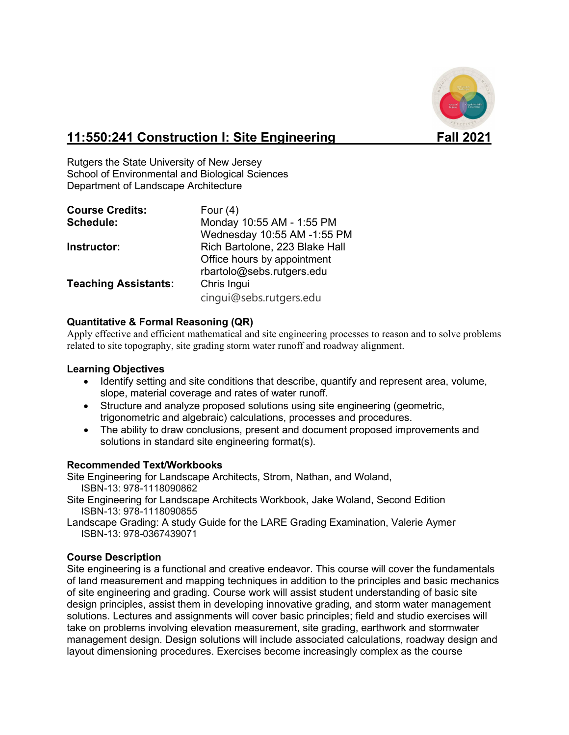

# **11:550:241 Construction I: Site Engineering Fall 2021**

Rutgers the State University of New Jersey School of Environmental and Biological Sciences Department of Landscape Architecture

| <b>Course Credits:</b>      | Four $(4)$                     |
|-----------------------------|--------------------------------|
| Schedule:                   | Monday 10:55 AM - 1:55 PM      |
|                             | Wednesday 10:55 AM -1:55 PM    |
| Instructor:                 | Rich Bartolone, 223 Blake Hall |
|                             | Office hours by appointment    |
|                             | rbartolo@sebs.rutgers.edu      |
| <b>Teaching Assistants:</b> | Chris Ingui                    |
|                             | cinqui@sebs.rutgers.edu        |

# **Quantitative & Formal Reasoning (QR)**

Apply effective and efficient mathematical and site engineering processes to reason and to solve problems related to site topography, site grading storm water runoff and roadway alignment.

#### **Learning Objectives**

- Identify setting and site conditions that describe, quantify and represent area, volume, slope, material coverage and rates of water runoff.
- Structure and analyze proposed solutions using site engineering (geometric, trigonometric and algebraic) calculations, processes and procedures.
- The ability to draw conclusions, present and document proposed improvements and solutions in standard site engineering format(s).

# **Recommended Text/Workbooks**

Site Engineering for Landscape Architects, Strom, Nathan, and Woland, ISBN-13: 978-1118090862

- Site Engineering for Landscape Architects Workbook, Jake Woland, Second Edition ISBN-13: 978-1118090855
- Landscape Grading: A study Guide for the LARE Grading Examination, Valerie Aymer ISBN-13: 978-0367439071

#### **Course Description**

Site engineering is a functional and creative endeavor. This course will cover the fundamentals of land measurement and mapping techniques in addition to the principles and basic mechanics of site engineering and grading. Course work will assist student understanding of basic site design principles, assist them in developing innovative grading, and storm water management solutions. Lectures and assignments will cover basic principles; field and studio exercises will take on problems involving elevation measurement, site grading, earthwork and stormwater management design. Design solutions will include associated calculations, roadway design and layout dimensioning procedures. Exercises become increasingly complex as the course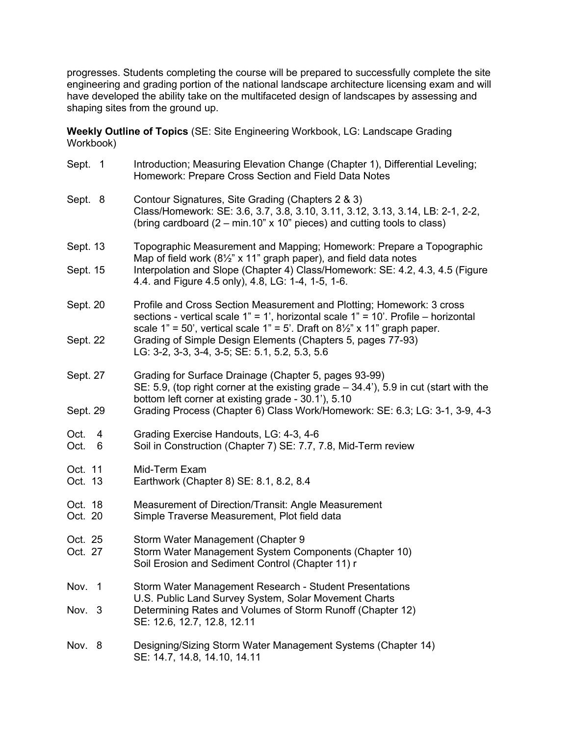progresses. Students completing the course will be prepared to successfully complete the site engineering and grading portion of the national landscape architecture licensing exam and will have developed the ability take on the multifaceted design of landscapes by assessing and shaping sites from the ground up.

**Weekly Outline of Topics** (SE: Site Engineering Workbook, LG: Landscape Grading Workbook)

| Sept. 1                | Introduction; Measuring Elevation Change (Chapter 1), Differential Leveling;<br>Homework: Prepare Cross Section and Field Data Notes                                                                                                                            |
|------------------------|-----------------------------------------------------------------------------------------------------------------------------------------------------------------------------------------------------------------------------------------------------------------|
| Sept. 8                | Contour Signatures, Site Grading (Chapters 2 & 3)<br>Class/Homework: SE: 3.6, 3.7, 3.8, 3.10, 3.11, 3.12, 3.13, 3.14, LB: 2-1, 2-2,<br>(bring cardboard $(2 - min.10" x 10"$ pieces) and cutting tools to class)                                                |
| Sept. 13               | Topographic Measurement and Mapping; Homework: Prepare a Topographic<br>Map of field work (81/2" x 11" graph paper), and field data notes                                                                                                                       |
| Sept. 15               | Interpolation and Slope (Chapter 4) Class/Homework: SE: 4.2, 4.3, 4.5 (Figure<br>4.4. and Figure 4.5 only), 4.8, LG: 1-4, 1-5, 1-6.                                                                                                                             |
| Sept. 20               | Profile and Cross Section Measurement and Plotting; Homework: 3 cross<br>sections - vertical scale $1" = 1'$ , horizontal scale $1" = 10'$ . Profile – horizontal<br>scale $1" = 50'$ , vertical scale $1" = 5'$ . Draft on $8\frac{1}{2}$ " x 11" graph paper. |
| Sept. 22               | Grading of Simple Design Elements (Chapters 5, pages 77-93)<br>LG: 3-2, 3-3, 3-4, 3-5; SE: 5.1, 5.2, 5.3, 5.6                                                                                                                                                   |
| Sept. 27               | Grading for Surface Drainage (Chapter 5, pages 93-99)<br>SE: 5.9, (top right corner at the existing grade $-34.4$ ), 5.9 in cut (start with the<br>bottom left corner at existing grade - 30.1'), 5.10                                                          |
| Sept. 29               | Grading Process (Chapter 6) Class Work/Homework: SE: 6.3; LG: 3-1, 3-9, 4-3                                                                                                                                                                                     |
| Oct.<br>4<br>Oct.<br>6 | Grading Exercise Handouts, LG: 4-3, 4-6<br>Soil in Construction (Chapter 7) SE: 7.7, 7.8, Mid-Term review                                                                                                                                                       |
| Oct. 11<br>Oct. 13     | Mid-Term Exam<br>Earthwork (Chapter 8) SE: 8.1, 8.2, 8.4                                                                                                                                                                                                        |
| Oct. 18<br>Oct. 20     | Measurement of Direction/Transit: Angle Measurement<br>Simple Traverse Measurement, Plot field data                                                                                                                                                             |
| Oct. 25<br>Oct. 27     | Storm Water Management (Chapter 9<br>Storm Water Management System Components (Chapter 10)<br>Soil Erosion and Sediment Control (Chapter 11) r                                                                                                                  |
| Nov. 1                 | Storm Water Management Research - Student Presentations<br>U.S. Public Land Survey System, Solar Movement Charts                                                                                                                                                |
| Nov.<br>3              | Determining Rates and Volumes of Storm Runoff (Chapter 12)<br>SE: 12.6, 12.7, 12.8, 12.11                                                                                                                                                                       |
| Nov. 8                 | Designing/Sizing Storm Water Management Systems (Chapter 14)<br>SE: 14.7, 14.8, 14.10, 14.11                                                                                                                                                                    |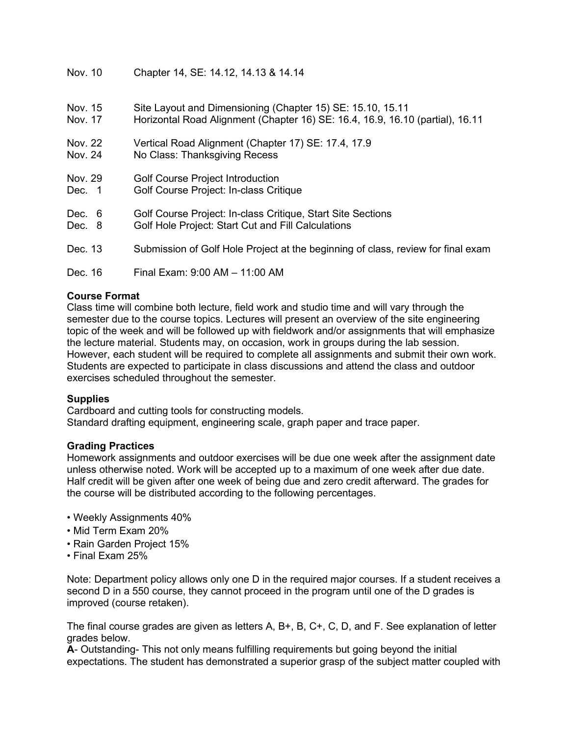| Nov. 10 | Chapter 14, SE: 14.12, 14.13 & 14.14 |
|---------|--------------------------------------|
|---------|--------------------------------------|

| Nov. 15 | Site Layout and Dimensioning (Chapter 15) SE: 15.10, 15.11                       |
|---------|----------------------------------------------------------------------------------|
| Nov. 17 | Horizontal Road Alignment (Chapter 16) SE: 16.4, 16.9, 16.10 (partial), 16.11    |
| Nov. 22 | Vertical Road Alignment (Chapter 17) SE: 17.4, 17.9                              |
| Nov. 24 | No Class: Thanksgiving Recess                                                    |
| Nov. 29 | <b>Golf Course Project Introduction</b>                                          |
| Dec. 1  | Golf Course Project: In-class Critique                                           |
| Dec. 6  | Golf Course Project: In-class Critique, Start Site Sections                      |
| Dec. 8  | Golf Hole Project: Start Cut and Fill Calculations                               |
| Dec. 13 | Submission of Golf Hole Project at the beginning of class, review for final exam |
| Dec. 16 | Final Exam: 9:00 AM - 11:00 AM                                                   |

# **Course Format**

Class time will combine both lecture, field work and studio time and will vary through the semester due to the course topics. Lectures will present an overview of the site engineering topic of the week and will be followed up with fieldwork and/or assignments that will emphasize the lecture material. Students may, on occasion, work in groups during the lab session. However, each student will be required to complete all assignments and submit their own work. Students are expected to participate in class discussions and attend the class and outdoor exercises scheduled throughout the semester.

# **Supplies**

Cardboard and cutting tools for constructing models. Standard drafting equipment, engineering scale, graph paper and trace paper.

#### **Grading Practices**

Homework assignments and outdoor exercises will be due one week after the assignment date unless otherwise noted. Work will be accepted up to a maximum of one week after due date. Half credit will be given after one week of being due and zero credit afterward. The grades for the course will be distributed according to the following percentages.

- Weekly Assignments 40%
- Mid Term Exam 20%
- Rain Garden Project 15%
- Final Exam 25%

Note: Department policy allows only one D in the required major courses. If a student receives a second D in a 550 course, they cannot proceed in the program until one of the D grades is improved (course retaken).

The final course grades are given as letters A, B+, B, C+, C, D, and F. See explanation of letter grades below.

**A**- Outstanding- This not only means fulfilling requirements but going beyond the initial expectations. The student has demonstrated a superior grasp of the subject matter coupled with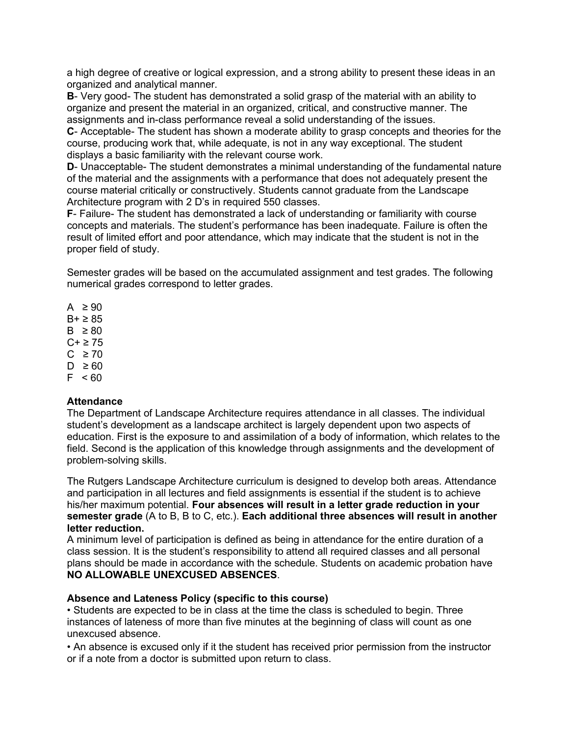a high degree of creative or logical expression, and a strong ability to present these ideas in an organized and analytical manner.

**B**- Very good- The student has demonstrated a solid grasp of the material with an ability to organize and present the material in an organized, critical, and constructive manner. The assignments and in-class performance reveal a solid understanding of the issues.

**C**- Acceptable- The student has shown a moderate ability to grasp concepts and theories for the course, producing work that, while adequate, is not in any way exceptional. The student displays a basic familiarity with the relevant course work.

**D**- Unacceptable- The student demonstrates a minimal understanding of the fundamental nature of the material and the assignments with a performance that does not adequately present the course material critically or constructively. Students cannot graduate from the Landscape Architecture program with 2 D's in required 550 classes.

**F**- Failure- The student has demonstrated a lack of understanding or familiarity with course concepts and materials. The student's performance has been inadequate. Failure is often the result of limited effort and poor attendance, which may indicate that the student is not in the proper field of study.

Semester grades will be based on the accumulated assignment and test grades. The following numerical grades correspond to letter grades.

 $A \geq 90$ 

 $B + \geq 85$ 

 $B \geq 80$ 

 $C + \geq 75$ 

 $C \geq 70$  $D \geq 60$ 

 $F < 60$ 

# **Attendance**

The Department of Landscape Architecture requires attendance in all classes. The individual student's development as a landscape architect is largely dependent upon two aspects of education. First is the exposure to and assimilation of a body of information, which relates to the field. Second is the application of this knowledge through assignments and the development of problem-solving skills.

The Rutgers Landscape Architecture curriculum is designed to develop both areas. Attendance and participation in all lectures and field assignments is essential if the student is to achieve his/her maximum potential. **Four absences will result in a letter grade reduction in your semester grade** (A to B, B to C, etc.). **Each additional three absences will result in another letter reduction.**

A minimum level of participation is defined as being in attendance for the entire duration of a class session. It is the student's responsibility to attend all required classes and all personal plans should be made in accordance with the schedule. Students on academic probation have **NO ALLOWABLE UNEXCUSED ABSENCES**.

# **Absence and Lateness Policy (specific to this course)**

• Students are expected to be in class at the time the class is scheduled to begin. Three instances of lateness of more than five minutes at the beginning of class will count as one unexcused absence.

• An absence is excused only if it the student has received prior permission from the instructor or if a note from a doctor is submitted upon return to class.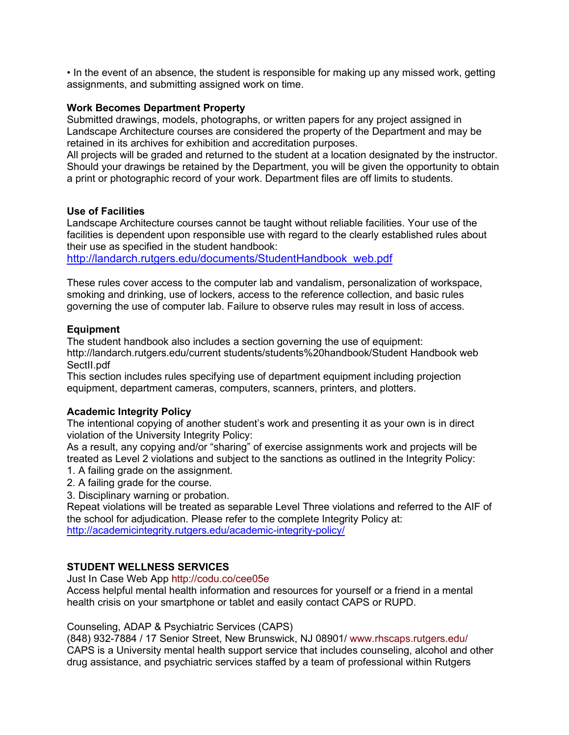• In the event of an absence, the student is responsible for making up any missed work, getting assignments, and submitting assigned work on time.

#### **Work Becomes Department Property**

Submitted drawings, models, photographs, or written papers for any project assigned in Landscape Architecture courses are considered the property of the Department and may be retained in its archives for exhibition and accreditation purposes.

All projects will be graded and returned to the student at a location designated by the instructor. Should your drawings be retained by the Department, you will be given the opportunity to obtain a print or photographic record of your work. Department files are off limits to students.

#### **Use of Facilities**

Landscape Architecture courses cannot be taught without reliable facilities. Your use of the facilities is dependent upon responsible use with regard to the clearly established rules about their use as specified in the student handbook:

[http://landarch.rutgers.edu/documents/StudentHandbook\\_web.pdf](http://landarch.rutgers.edu/documents/StudentHandbook_web.pdf)

These rules cover access to the computer lab and vandalism, personalization of workspace, smoking and drinking, use of lockers, access to the reference collection, and basic rules governing the use of computer lab. Failure to observe rules may result in loss of access.

# **Equipment**

The student handbook also includes a section governing the use of equipment: http://landarch.rutgers.edu/current students/students%20handbook/Student Handbook web SectII.pdf

This section includes rules specifying use of department equipment including projection equipment, department cameras, computers, scanners, printers, and plotters.

# **Academic Integrity Policy**

The intentional copying of another student's work and presenting it as your own is in direct violation of the University Integrity Policy:

As a result, any copying and/or "sharing" of exercise assignments work and projects will be treated as Level 2 violations and subject to the sanctions as outlined in the Integrity Policy: 1. A failing grade on the assignment.

- 2. A failing grade for the course.
- 3. Disciplinary warning or probation.

Repeat violations will be treated as separable Level Three violations and referred to the AIF of the school for adjudication. Please refer to the complete Integrity Policy at: <http://academicintegrity.rutgers.edu/academic-integrity-policy/>

# **STUDENT WELLNESS SERVICES**

Just In Case Web App http://codu.co/cee05e

Access helpful mental health information and resources for yourself or a friend in a mental health crisis on your smartphone or tablet and easily contact CAPS or RUPD.

Counseling, ADAP & Psychiatric Services (CAPS)

(848) 932-7884 / 17 Senior Street, New Brunswick, NJ 08901/ www.rhscaps.rutgers.edu/ CAPS is a University mental health support service that includes counseling, alcohol and other drug assistance, and psychiatric services staffed by a team of professional within Rutgers